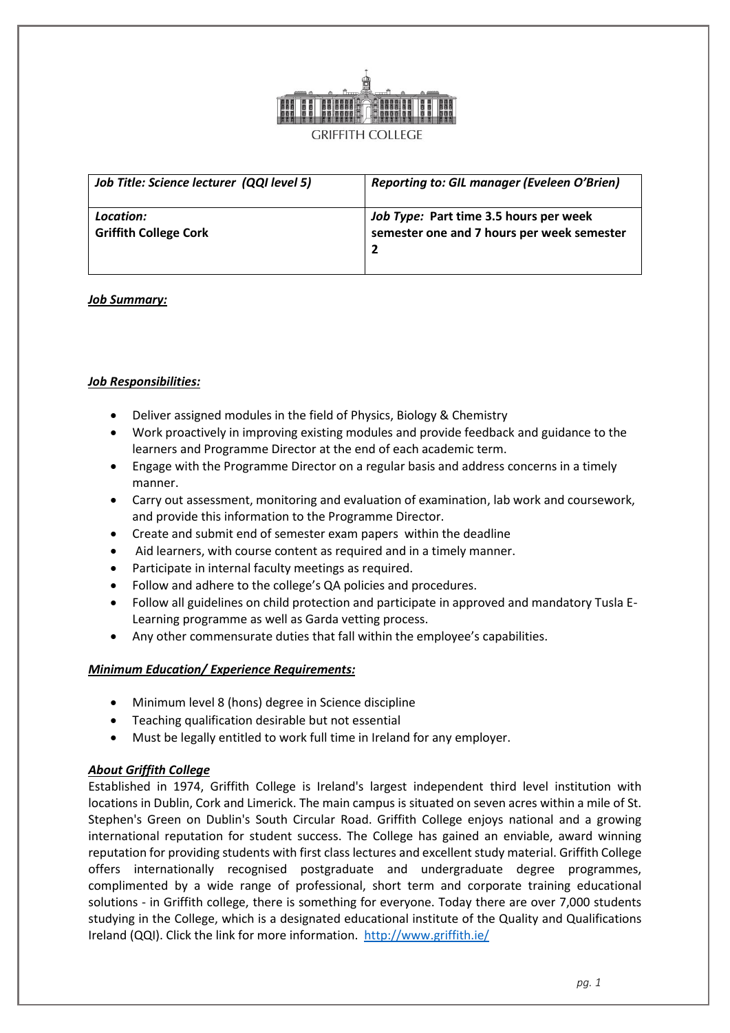

| Job Title: Science lecturer (QQI level 5) | <b>Reporting to: GIL manager (Eveleen O'Brien)</b> |
|-------------------------------------------|----------------------------------------------------|
| Location:                                 | Job Type: Part time 3.5 hours per week             |
| <b>Griffith College Cork</b>              | semester one and 7 hours per week semester         |

## *Job Summary:*

## *Job Responsibilities:*

- Deliver assigned modules in the field of Physics, Biology & Chemistry
- Work proactively in improving existing modules and provide feedback and guidance to the learners and Programme Director at the end of each academic term.
- Engage with the Programme Director on a regular basis and address concerns in a timely manner.
- Carry out assessment, monitoring and evaluation of examination, lab work and coursework, and provide this information to the Programme Director.
- Create and submit end of semester exam papers within the deadline
- Aid learners, with course content as required and in a timely manner.
- Participate in internal faculty meetings as required.
- Follow and adhere to the college's QA policies and procedures.
- Follow all guidelines on child protection and participate in approved and mandatory Tusla E-Learning programme as well as Garda vetting process.
- Any other commensurate duties that fall within the employee's capabilities.

#### *Minimum Education/ Experience Requirements:*

- Minimum level 8 (hons) degree in Science discipline
- Teaching qualification desirable but not essential
- Must be legally entitled to work full time in Ireland for any employer.

#### *About Griffith College*

Established in 1974, Griffith College is Ireland's largest independent third level institution with locations in Dublin, Cork and Limerick. The main campus is situated on seven acres within a mile of St. Stephen's Green on Dublin's South Circular Road. Griffith College enjoys national and a growing international reputation for student success. The College has gained an enviable, award winning reputation for providing students with first class lectures and excellent study material. Griffith College offers internationally recognised postgraduate and undergraduate degree programmes, complimented by a wide range of professional, short term and corporate training educational solutions - in Griffith college, there is something for everyone. Today there are over 7,000 students studying in the College, which is a designated educational institute of the Quality and Qualifications Ireland (QQI). Click the link for more information. <http://www.griffith.ie/>